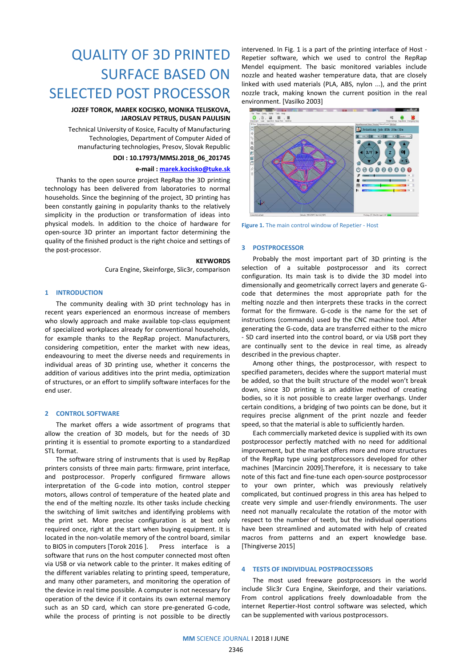# QUALITY OF 3D PRINTED SURFACE BASED ON SELECTED POST PROCESSOR

# **JOZEF TOROK, MAREK KOCISKO, MONIKA TELISKOVA, JAROSLAV PETRUS, DUSAN PAULISIN**

Technical University of Kosice, Faculty of Manufacturing Technologies, Department of Computer Aided of manufacturing technologies, Presov, Slovak Republic

# **DOI : 10.17973/MMSJ.2018\_06\_201745**

# **e-mail [: marek.kocisko@tuke.sk](mailto:marek.kocisko@tuke.sk)**

Thanks to the open source project RepRap the 3D printing technology has been delivered from laboratories to normal households. Since the beginning of the project, 3D printing has been constantly gaining in popularity thanks to the relatively simplicity in the production or transformation of ideas into physical models. In addition to the choice of hardware for open-source 3D printer an important factor determining the quality of the finished product is the right choice and settings of the post-processor.

#### **KEYWORDS**

Cura Engine, Skeinforge, Slic3r, comparison

## **1 INTRODUCTION**

The community dealing with 3D print technology has in recent years experienced an enormous increase of members who slowly approach and make available top-class equipment of specialized workplaces already for conventional households, for example thanks to the RepRap project. Manufacturers, considering competition, enter the market with new ideas, endeavouring to meet the diverse needs and requirements in individual areas of 3D printing use, whether it concerns the addition of various additives into the print media, optimization of structures, or an effort to simplify software interfaces for the end user.

## **2 CONTROL SOFTWARE**

The market offers a wide assortment of programs that allow the creation of 3D models, but for the needs of 3D printing it is essential to promote exporting to a standardized STL format.

The software string of instruments that is used by RepRap printers consists of three main parts: firmware, print interface, and postprocessor. Properly configured firmware allows interpretation of the G-code into motion, control stepper motors, allows control of temperature of the heated plate and the end of the melting nozzle. Its other tasks include checking the switching of limit switches and identifying problems with the print set. More precise configuration is at best only required once, right at the start when buying equipment. It is located in the non-volatile memory of the control board, similar to BIOS in computers [Torok 2016 ]. Press interface is a software that runs on the host computer connected most often via USB or via network cable to the printer. It makes editing of the different variables relating to printing speed, temperature, and many other parameters, and monitoring the operation of the device in real time possible. A computer is not necessary for operation of the device if it contains its own external memory such as an SD card, which can store pre-generated G-code, while the process of printing is not possible to be directly intervened. In Fig. 1 is a part of the printing interface of Host - Repetier software, which we used to control the RepRap Mendel equipment. The basic monitored variables include nozzle and heated washer temperature data, that are closely linked with used materials (PLA, ABS, nylon ...), and the print nozzle track, making known the current position in the real environment. [Vasilko 2003]



**Figure 1.** The main control window of Repetier - Host

### **3 POSTPROCESSOR**

Probably the most important part of 3D printing is the selection of a suitable postprocessor and its correct configuration. Its main task is to divide the 3D model into dimensionally and geometrically correct layers and generate Gcode that determines the most appropriate path for the melting nozzle and then interprets these tracks in the correct format for the firmware. G-code is the name for the set of instructions (commands) used by the CNC machine tool. After generating the G-code, data are transferred either to the micro - SD card inserted into the control board, or via USB port they are continually sent to the device in real time, as already described in the previous chapter.

Among other things, the postprocessor, with respect to specified parameters, decides where the support material must be added, so that the built structure of the model won't break down, since 3D printing is an additive method of creating bodies, so it is not possible to create larger overhangs. Under certain conditions, a bridging of two points can be done, but it requires precise alignment of the print nozzle and feeder speed, so that the material is able to sufficiently harden.

Each commercially marketed device is supplied with its own postprocessor perfectly matched with no need for additional improvement, but the market offers more and more structures of the RepRap type using postprocessors developed for other machines [Marcincin 2009].Therefore, it is necessary to take note of this fact and fine-tune each open-source postprocessor to your own printer, which was previously relatively complicated, but continued progress in this area has helped to create very simple and user-friendly environments. The user need not manually recalculate the rotation of the motor with respect to the number of teeth, but the individual operations have been streamlined and automated with help of created macros from patterns and an expert knowledge base. [Thingiverse 2015]

# **4 TESTS OF INDIVIDUAL POSTPROCESSORS**

The most used freeware postprocessors in the world include Slic3r Cura Engine, Skeinforge, and their variations. From control applications freely downloadable from the internet Repertier-Host control software was selected, which can be supplemented with various postprocessors.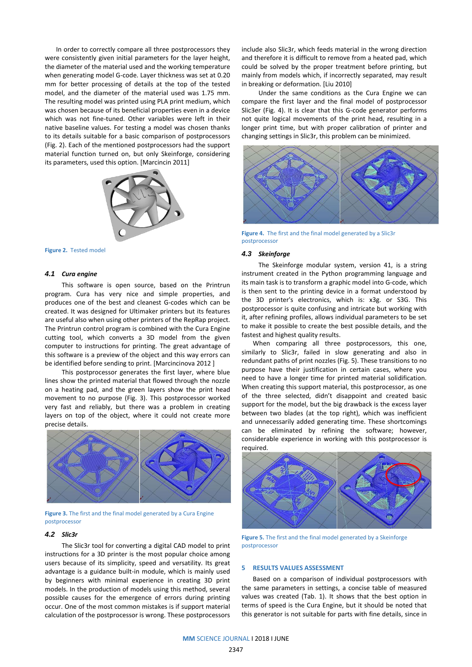In order to correctly compare all three postprocessors they were consistently given initial parameters for the layer height, the diameter of the material used and the working temperature when generating model G-code. Layer thickness was set at 0.20 mm for better processing of details at the top of the tested model, and the diameter of the material used was 1.75 mm. The resulting model was printed using PLA print medium, which was chosen because of its beneficial properties even in a device which was not fine-tuned. Other variables were left in their native baseline values. For testing a model was chosen thanks to its details suitable for a basic comparison of postprocessors (Fig. 2). Each of the mentioned postprocessors had the support material function turned on, but only Skeinforge, considering its parameters, used this option. [Marcincin 2011]



**Figure 2.** Tested model

# *4.1 Cura engine*

This software is open source, based on the Printrun program. Cura has very nice and simple properties, and produces one of the best and cleanest G-codes which can be created. It was designed for Ultimaker printers but its features are useful also when using other printers of the RepRap project. The Printrun control program is combined with the Cura Engine cutting tool, which converts a 3D model from the given computer to instructions for printing. The great advantage of this software is a preview of the object and this way errors can be identified before sending to print. [Marcincinova 2012 ]

This postprocessor generates the first layer, where blue lines show the printed material that flowed through the nozzle on a heating pad, and the green layers show the print head movement to no purpose (Fig. 3). This postprocessor worked very fast and reliably, but there was a problem in creating layers on top of the object, where it could not create more precise details.



**Figure 3.** The first and the final model generated by a Cura Engine postprocessor

# *4.2 Slic3r*

The Slic3r tool for converting a digital CAD model to print instructions for a 3D printer is the most popular choice among users because of its simplicity, speed and versatility. Its great advantage is a guidance built-in module, which is mainly used by beginners with minimal experience in creating 3D print models. In the production of models using this method, several possible causes for the emergence of errors during printing occur. One of the most common mistakes is if support material calculation of the postprocessor is wrong. These postprocessors

include also Slic3r, which feeds material in the wrong direction and therefore it is difficult to remove from a heated pad, which could be solved by the proper treatment before printing, but mainly from models which, if incorrectly separated, may result in breaking or deformation. [Liu 2010]

Under the same conditions as the Cura Engine we can compare the first layer and the final model of postprocessor Slic3er (Fig. 4). It is clear that this G-code generator performs not quite logical movements of the print head, resulting in a longer print time, but with proper calibration of printer and changing settings in Slic3r, this problem can be minimized.



**Figure 4.** The first and the final model generated by a Slic3r postprocessor

## *4.3 Skeinforge*

The Skeinforge modular system, version 41, is a string instrument created in the Python programming language and its main task is to transform a graphic model into G-code, which is then sent to the printing device in a format understood by the 3D printer's electronics, which is: x3g. or S3G. This postprocessor is quite confusing and intricate but working with it, after refining profiles, allows individual parameters to be set to make it possible to create the best possible details, and the fastest and highest quality results.

When comparing all three postprocessors, this one, similarly to Slic3r, failed in slow generating and also in redundant paths of print nozzles (Fig. 5). These transitions to no purpose have their justification in certain cases, where you need to have a longer time for printed material solidification. When creating this support material, this postprocessor, as one of the three selected, didn't disappoint and created basic support for the model, but the big drawback is the excess layer between two blades (at the top right), which was inefficient and unnecessarily added generating time. These shortcomings can be eliminated by refining the software; however, considerable experience in working with this postprocessor is required.



**Figure 5.** The first and the final model generated by a Skeinforge postprocessor

## **5 RESULTS VALUES ASSESSMENT**

Based on a comparison of individual postprocessors with the same parameters in settings, a concise table of measured values was created (Tab. 1). It shows that the best option in terms of speed is the Cura Engine, but it should be noted that this generator is not suitable for parts with fine details, since in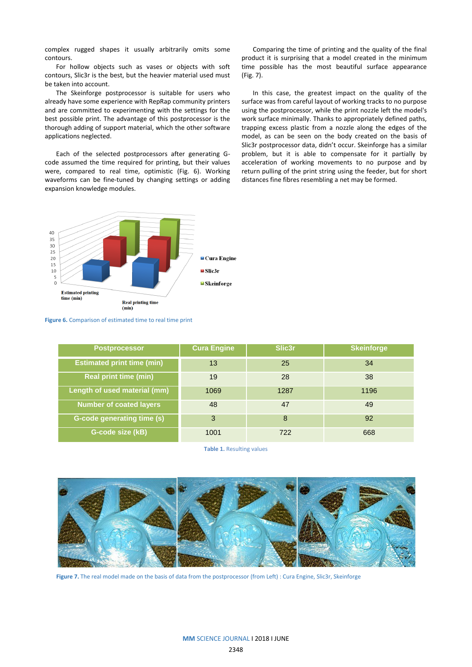complex rugged shapes it usually arbitrarily omits some contours.

For hollow objects such as vases or objects with soft contours, Slic3r is the best, but the heavier material used must be taken into account.

The Skeinforge postprocessor is suitable for users who already have some experience with RepRap community printers and are committed to experimenting with the settings for the best possible print. The advantage of this postprocessor is the thorough adding of support material, which the other software applications neglected.

Each of the selected postprocessors after generating Gcode assumed the time required for printing, but their values were, compared to real time, optimistic (Fig. 6). Working waveforms can be fine-tuned by changing settings or adding expansion knowledge modules.



Figure 6. Comparison of estimated time to real time print

| <b>Postprocessor</b>              | <b>Cura Engine</b> | Slic3r | <b>Skeinforge</b> |
|-----------------------------------|--------------------|--------|-------------------|
| <b>Estimated print time (min)</b> | 13                 | 25     | 34                |
| <b>Real print time (min)</b>      | 19                 | 28     | 38                |
| Length of used material (mm)      | 1069               | 1287   | 1196              |
| <b>Number of coated layers</b>    | 48                 | 47     | 49                |
| <b>G-code generating time (s)</b> | 3                  | 8      | 92                |
| G-code size (kB)                  | 1001               | 722    | 668               |

**Table 1.** Resulting values



 **Figure 7.** The real model made on the basis of data from the postprocessor (from Left) : Cura Engine, Slic3r, Skeinforge

Comparing the time of printing and the quality of the final product it is surprising that a model created in the minimum time possible has the most beautiful surface appearance (Fig. 7).

In this case, the greatest impact on the quality of the surface was from careful layout of working tracks to no purpose using the postprocessor, while the print nozzle left the model's work surface minimally. Thanks to appropriately defined paths, trapping excess plastic from a nozzle along the edges of the model, as can be seen on the body created on the basis of Slic3r postprocessor data, didn't occur. Skeinforge has a similar problem, but it is able to compensate for it partially by acceleration of working movements to no purpose and by return pulling of the print string using the feeder, but for short distances fine fibres resembling a net may be formed.